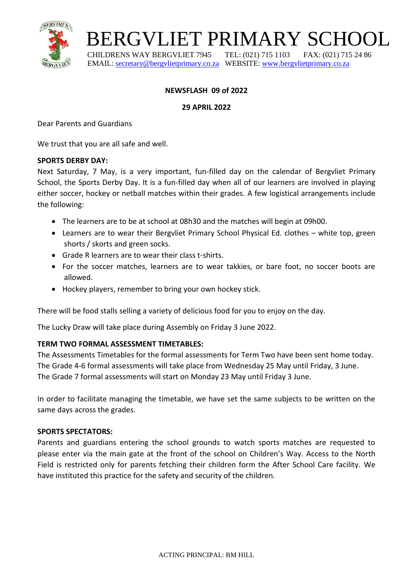

## BERGVLIET PRIMARY SCHOOL

 CHILDRENS WAY BERGVLIET 7945 TEL: (021) 715 1103 FAX: (021) 715 24 86 EMAIL: [secretary@bergvlietprimary.co.za](mailto:secretary@bergvlietprimary.co.za) WEBSITE[: www.bergvlietprimary.co.za](http://www.bergvlietprimary.co.za/)

## **NEWSFLASH 09 of 2022**

**29 APRIL 2022**

Dear Parents and Guardians

We trust that you are all safe and well.

#### **SPORTS DERBY DAY:**

Next Saturday, 7 May, is a very important, fun-filled day on the calendar of Bergvliet Primary School, the Sports Derby Day. It is a fun-filled day when all of our learners are involved in playing either soccer, hockey or netball matches within their grades. A few logistical arrangements include the following:

- The learners are to be at school at 08h30 and the matches will begin at 09h00.
- Learners are to wear their Bergvliet Primary School Physical Ed. clothes white top, green shorts / skorts and green socks.
- Grade R learners are to wear their class t-shirts.
- For the soccer matches, learners are to wear takkies, or bare foot, no soccer boots are allowed.
- Hockey players, remember to bring your own hockey stick.

There will be food stalls selling a variety of delicious food for you to enjoy on the day.

The Lucky Draw will take place during Assembly on Friday 3 June 2022.

#### **TERM TWO FORMAL ASSESSMENT TIMETABLES:**

The Assessments Timetables for the formal assessments for Term Two have been sent home today. The Grade 4-6 formal assessments will take place from Wednesday 25 May until Friday, 3 June. The Grade 7 formal assessments will start on Monday 23 May until Friday 3 June.

In order to facilitate managing the timetable, we have set the same subjects to be written on the same days across the grades.

#### **SPORTS SPECTATORS:**

Parents and guardians entering the school grounds to watch sports matches are requested to please enter via the main gate at the front of the school on Children's Way. Access to the North Field is restricted only for parents fetching their children form the After School Care facility. We have instituted this practice for the safety and security of the children.